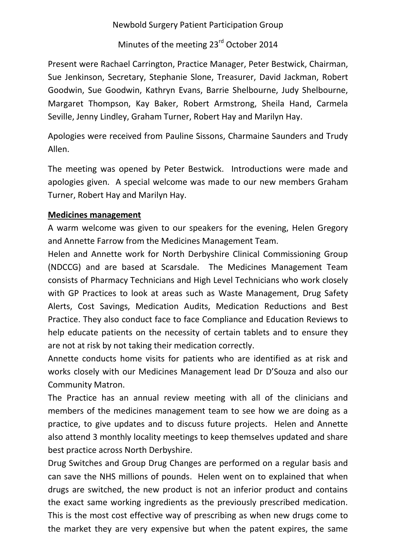Newbold Surgery Patient Participation Group

Minutes of the meeting 23<sup>rd</sup> October 2014

Present were Rachael Carrington, Practice Manager, Peter Bestwick, Chairman, Sue Jenkinson, Secretary, Stephanie Slone, Treasurer, David Jackman, Robert Goodwin, Sue Goodwin, Kathryn Evans, Barrie Shelbourne, Judy Shelbourne, Margaret Thompson, Kay Baker, Robert Armstrong, Sheila Hand, Carmela Seville, Jenny Lindley, Graham Turner, Robert Hay and Marilyn Hay.

Apologies were received from Pauline Sissons, Charmaine Saunders and Trudy Allen.

The meeting was opened by Peter Bestwick. Introductions were made and apologies given. A special welcome was made to our new members Graham Turner, Robert Hay and Marilyn Hay.

## **Medicines management**

A warm welcome was given to our speakers for the evening, Helen Gregory and Annette Farrow from the Medicines Management Team.

Helen and Annette work for North Derbyshire Clinical Commissioning Group (NDCCG) and are based at Scarsdale. The Medicines Management Team consists of Pharmacy Technicians and High Level Technicians who work closely with GP Practices to look at areas such as Waste Management, Drug Safety Alerts, Cost Savings, Medication Audits, Medication Reductions and Best Practice. They also conduct face to face Compliance and Education Reviews to help educate patients on the necessity of certain tablets and to ensure they are not at risk by not taking their medication correctly.

Annette conducts home visits for patients who are identified as at risk and works closely with our Medicines Management lead Dr D'Souza and also our Community Matron.

The Practice has an annual review meeting with all of the clinicians and members of the medicines management team to see how we are doing as a practice, to give updates and to discuss future projects. Helen and Annette also attend 3 monthly locality meetings to keep themselves updated and share best practice across North Derbyshire.

Drug Switches and Group Drug Changes are performed on a regular basis and can save the NHS millions of pounds. Helen went on to explained that when drugs are switched, the new product is not an inferior product and contains the exact same working ingredients as the previously prescribed medication. This is the most cost effective way of prescribing as when new drugs come to the market they are very expensive but when the patent expires, the same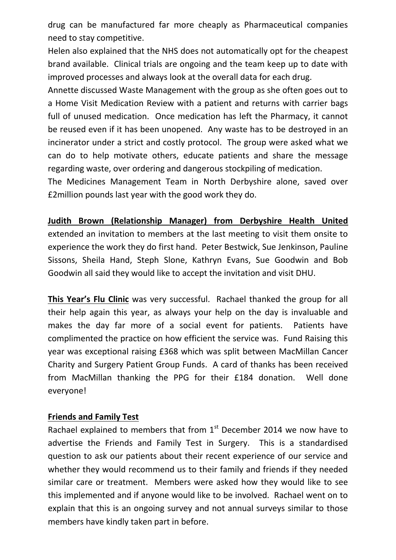drug can be manufactured far more cheaply as Pharmaceutical companies need to stay competitive.

Helen also explained that the NHS does not automatically opt for the cheapest brand available. Clinical trials are ongoing and the team keep up to date with improved processes and always look at the overall data for each drug.

Annette discussed Waste Management with the group as she often goes out to a Home Visit Medication Review with a patient and returns with carrier bags full of unused medication. Once medication has left the Pharmacy, it cannot be reused even if it has been unopened. Any waste has to be destroyed in an incinerator under a strict and costly protocol. The group were asked what we can do to help motivate others, educate patients and share the message regarding waste, over ordering and dangerous stockpiling of medication.

The Medicines Management Team in North Derbyshire alone, saved over £2million pounds last year with the good work they do.

## **Judith Brown (Relationship Manager) from Derbyshire Health United**

extended an invitation to members at the last meeting to visit them onsite to experience the work they do first hand. Peter Bestwick, Sue Jenkinson, Pauline Sissons, Sheila Hand, Steph Slone, Kathryn Evans, Sue Goodwin and Bob Goodwin all said they would like to accept the invitation and visit DHU.

**This Year's Flu Clinic** was very successful. Rachael thanked the group for all their help again this year, as always your help on the day is invaluable and makes the day far more of a social event for patients. Patients have complimented the practice on how efficient the service was. Fund Raising this year was exceptional raising £368 which was split between MacMillan Cancer Charity and Surgery Patient Group Funds. A card of thanks has been received from MacMillan thanking the PPG for their £184 donation. Well done everyone!

## **Friends and Family Test**

Rachael explained to members that from  $1<sup>st</sup>$  December 2014 we now have to advertise the Friends and Family Test in Surgery. This is a standardised question to ask our patients about their recent experience of our service and whether they would recommend us to their family and friends if they needed similar care or treatment. Members were asked how they would like to see this implemented and if anyone would like to be involved. Rachael went on to explain that this is an ongoing survey and not annual surveys similar to those members have kindly taken part in before.